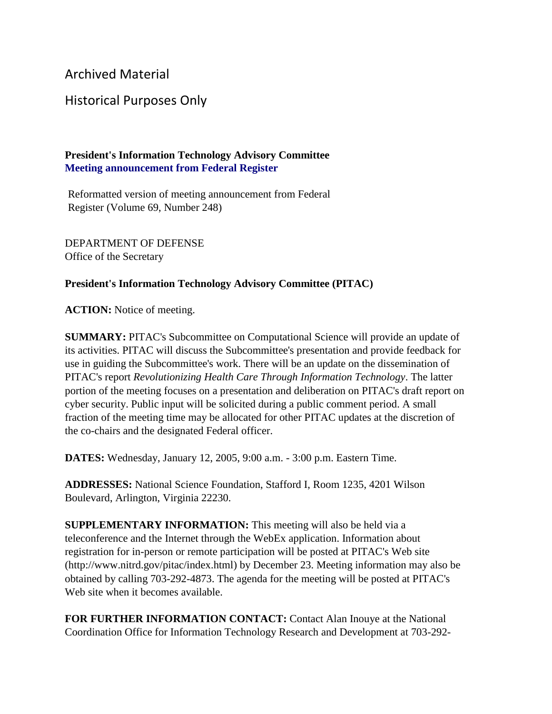Archived Material

## Historical Purposes Only

## **President's Information Technology Advisory Committee Meeting announcement from Federal Register**

Reformatted version of meeting announcement from Federal Register (Volume 69, Number 248)

DEPARTMENT OF DEFENSE Office of the Secretary

## **President's Information Technology Advisory Committee (PITAC)**

**ACTION:** Notice of meeting.

**SUMMARY:** PITAC's Subcommittee on Computational Science will provide an update of its activities. PITAC will discuss the Subcommittee's presentation and provide feedback for use in guiding the Subcommittee's work. There will be an update on the dissemination of PITAC's report *Revolutionizing Health Care Through Information Technology*. The latter portion of the meeting focuses on a presentation and deliberation on PITAC's draft report on cyber security. Public input will be solicited during a public comment period. A small fraction of the meeting time may be allocated for other PITAC updates at the discretion of the co-chairs and the designated Federal officer.

**DATES:** Wednesday, January 12, 2005, 9:00 a.m. - 3:00 p.m. Eastern Time.

**ADDRESSES:** National Science Foundation, Stafford I, Room 1235, 4201 Wilson Boulevard, Arlington, Virginia 22230.

**SUPPLEMENTARY INFORMATION:** This meeting will also be held via a teleconference and the Internet through the WebEx application. Information about registration for in-person or remote participation will be posted at PITAC's Web site (http://www.nitrd.gov/pitac/index.html) by December 23. Meeting information may also be obtained by calling 703-292-4873. The agenda for the meeting will be posted at PITAC's Web site when it becomes available.

**FOR FURTHER INFORMATION CONTACT:** Contact Alan Inouye at the National Coordination Office for Information Technology Research and Development at 703-292